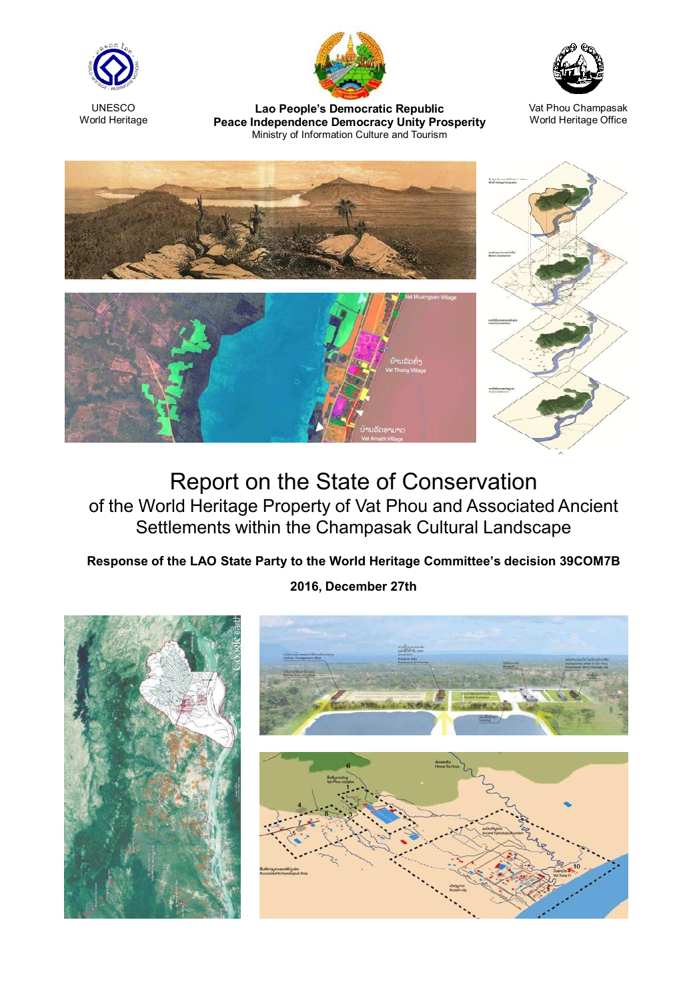

**UNESCO** World Heritage



Lao People's Democratic Republic Lao People's Democratic Republic Vat Phou Champasak<br>Peace Independence Democracy Unity Prosperity World Heritage Office Ministry of Information Culture and Tourism



World Heritage Office



## Report on the State of Conservation of the World Heritage Property of Vat Phou and Associated Ancient Settlements within the Champasak Cultural Landscape

## Response of the LAO State Party to the World Heritage Committee's decision 39COM7B

## 2016, December 27th

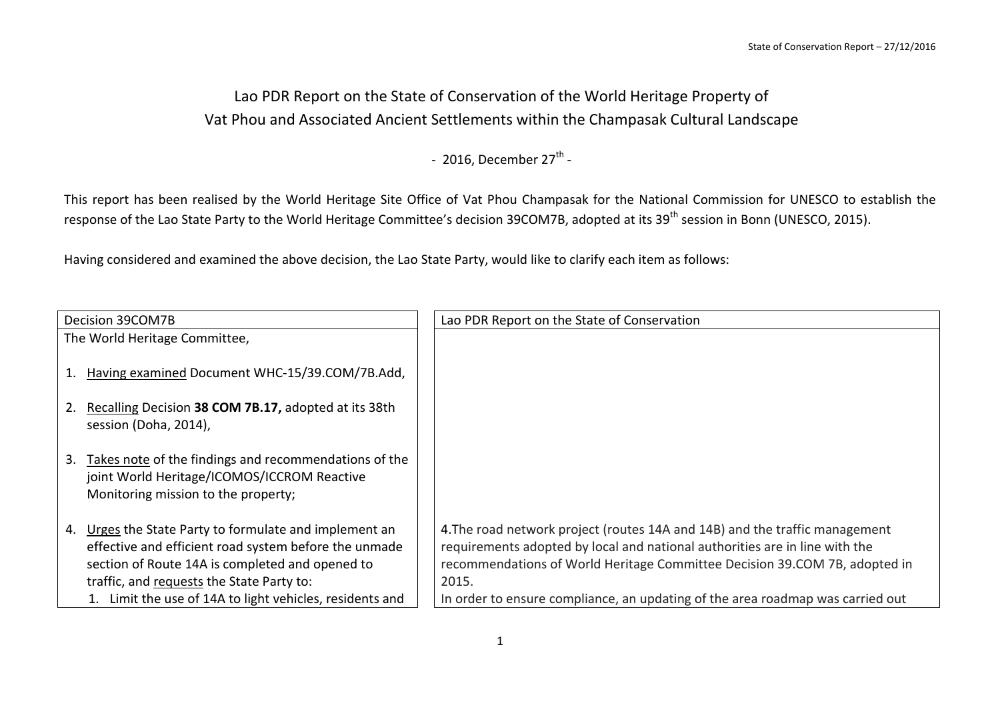## Lao PDR Report on the State of Conservation of the World Heritage Property of Vat Phou and Associated Ancient Settlements within the Champasak Cultural Landscape

- 2016, December  $27<sup>th</sup>$  -

This report has been realised by the World Heritage Site Office of Vat Phou Champasak for the National Commission for UNESCO to establish the response of the Lao State Party to the World Heritage Committee's decision 39COM7B, adopted at its 39<sup>th</sup> session in Bonn (UNESCO, 2015).

Having considered and examined the above decision, the Lao State Party, would like to clarify each item as follows:

| Decision 39COM7B                                                                                                                                                                                                   | Lao PDR Report on the State of Conservation                                                                                                                                                                                                       |
|--------------------------------------------------------------------------------------------------------------------------------------------------------------------------------------------------------------------|---------------------------------------------------------------------------------------------------------------------------------------------------------------------------------------------------------------------------------------------------|
| The World Heritage Committee,                                                                                                                                                                                      |                                                                                                                                                                                                                                                   |
| Having examined Document WHC-15/39.COM/7B.Add,                                                                                                                                                                     |                                                                                                                                                                                                                                                   |
| Recalling Decision 38 COM 7B.17, adopted at its 38th<br>session (Doha, 2014),                                                                                                                                      |                                                                                                                                                                                                                                                   |
| Takes note of the findings and recommendations of the<br>3.<br>joint World Heritage/ICOMOS/ICCROM Reactive<br>Monitoring mission to the property;                                                                  |                                                                                                                                                                                                                                                   |
| Urges the State Party to formulate and implement an<br>4.<br>effective and efficient road system before the unmade<br>section of Route 14A is completed and opened to<br>traffic, and requests the State Party to: | 4. The road network project (routes 14A and 14B) and the traffic management<br>requirements adopted by local and national authorities are in line with the<br>recommendations of World Heritage Committee Decision 39.COM 7B, adopted in<br>2015. |
| Limit the use of 14A to light vehicles, residents and                                                                                                                                                              | In order to ensure compliance, an updating of the area roadmap was carried out                                                                                                                                                                    |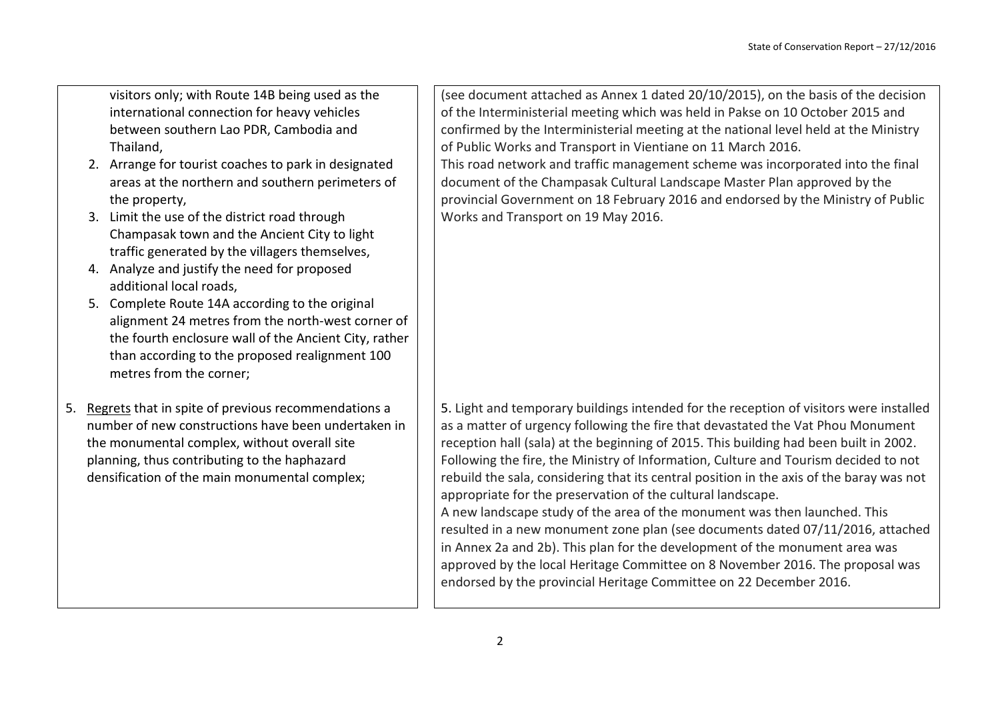visitors only; with Route 14B being used as the international connection for heavy vehicles between southern Lao PDR, Cambodia and Thailand,

- 2. Arrange for tourist coaches to park in designated areas at the northern and southern perimeters of the property,
- 3. Limit the use of the district road through Champasak town and the Ancient City to light traffic generated by the villagers themselves,
- 4. Analyze and justify the need for proposed additional local roads,
- 5. Complete Route 14A according to the original alignment 24 metres from the north-west corner of the fourth enclosure wall of the Ancient City, rather than according to the proposed realignment 100 metres from the corner;
- 5. Regrets that in spite of previous recommendations a number of new constructions have been undertaken in the monumental complex, without overall site planning, thus contributing to the haphazard densification of the main monumental complex;

(see document attached as Annex 1 dated 20/10/2015), on the basis of the decision of the Interministerial meeting which was held in Pakse on 10 October 2015 and confirmed by the Interministerial meeting at the national level held at the Ministry of Public Works and Transport in Vientiane on 11 March 2016. This road network and traffic management scheme was incorporated into the final document of the Champasak Cultural Landscape Master Plan approved by the provincial Government on 18 February 2016 and endorsed by the Ministry of Public Works and Transport on 19 May 2016.

5. Light and temporary buildings intended for the reception of visitors were installed as a matter of urgency following the fire that devastated the Vat Phou Monument reception hall (sala) at the beginning of 2015. This building had been built in 2002. Following the fire, the Ministry of Information, Culture and Tourism decided to not rebuild the sala, considering that its central position in the axis of the baray was not appropriate for the preservation of the cultural landscape. A new landscape study of the area of the monument was then launched. This

resulted in a new monument zone plan (see documents dated 07/11/2016, attached in Annex 2a and 2b). This plan for the development of the monument area was approved by the local Heritage Committee on 8 November 2016. The proposal was endorsed by the provincial Heritage Committee on 22 December 2016.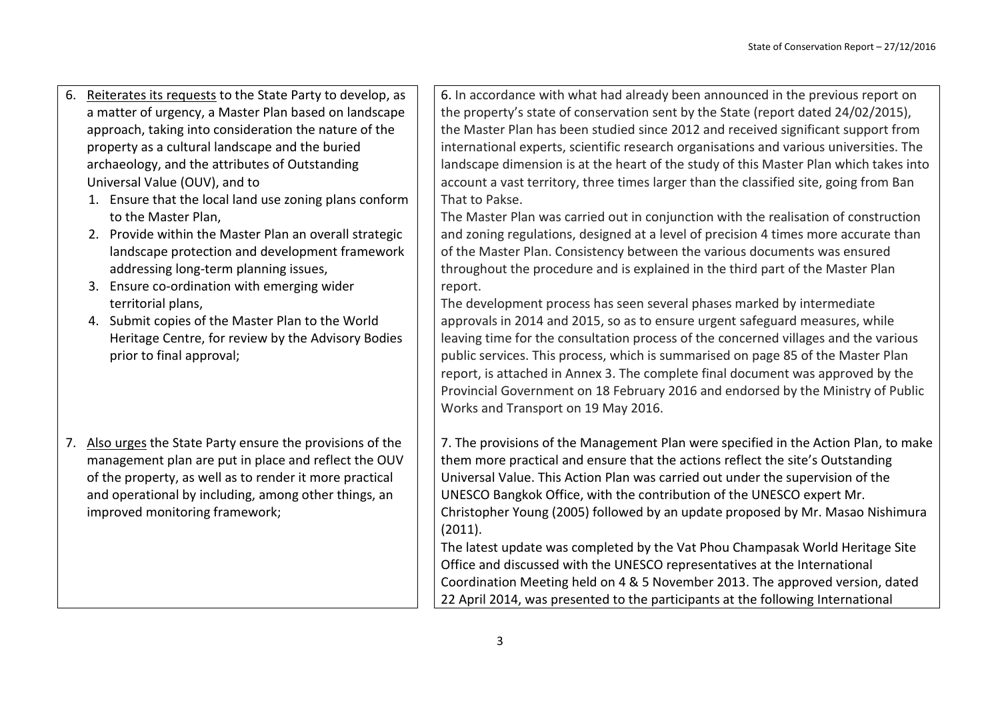- 6. Reiterates its requests to the State Party to develop, as a matter of urgency, a Master Plan based on landscape approach, taking into consideration the nature of the property as a cultural landscape and the buried archaeology, and the attributes of Outstanding Universal Value (OUV), and to
	- 1. Ensure that the local land use zoning plans conform to the Master Plan,
	- 2. Provide within the Master Plan an overall strategic landscape protection and development framework addressing long-term planning issues,
	- 3. Ensure co-ordination with emerging wider territorial plans,
	- 4. Submit copies of the Master Plan to the World Heritage Centre, for review by the Advisory Bodies prior to final approval;
- 7. Also urges the State Party ensure the provisions of the management plan are put in place and reflect the OUV of the property, as well as to render it more practical and operational by including, among other things, an improved monitoring framework;

6. In accordance with what had already been announced in the previous report on the property's state of conservation sent by the State (report dated 24/02/2015), the Master Plan has been studied since 2012 and received significant support from international experts, scientific research organisations and various universities. The landscape dimension is at the heart of the study of this Master Plan which takes into account a vast territory, three times larger than the classified site, going from Ban That to Pakse.

The Master Plan was carried out in conjunction with the realisation of construction and zoning regulations, designed at a level of precision 4 times more accurate than of the Master Plan. Consistency between the various documents was ensured throughout the procedure and is explained in the third part of the Master Plan report.

The development process has seen several phases marked by intermediate approvals in 2014 and 2015, so as to ensure urgent safeguard measures, while leaving time for the consultation process of the concerned villages and the various public services. This process, which is summarised on page 85 of the Master Plan report, is attached in Annex 3. The complete final document was approved by the Provincial Government on 18 February 2016 and endorsed by the Ministry of Public Works and Transport on 19 May 2016.

7. The provisions of the Management Plan were specified in the Action Plan, to make them more practical and ensure that the actions reflect the site's Outstanding Universal Value. This Action Plan was carried out under the supervision of the UNESCO Bangkok Office, with the contribution of the UNESCO expert Mr. Christopher Young (2005) followed by an update proposed by Mr. Masao Nishimura (2011).

The latest update was completed by the Vat Phou Champasak World Heritage Site Office and discussed with the UNESCO representatives at the International Coordination Meeting held on 4 & 5 November 2013. The approved version, dated 22 April 2014, was presented to the participants at the following International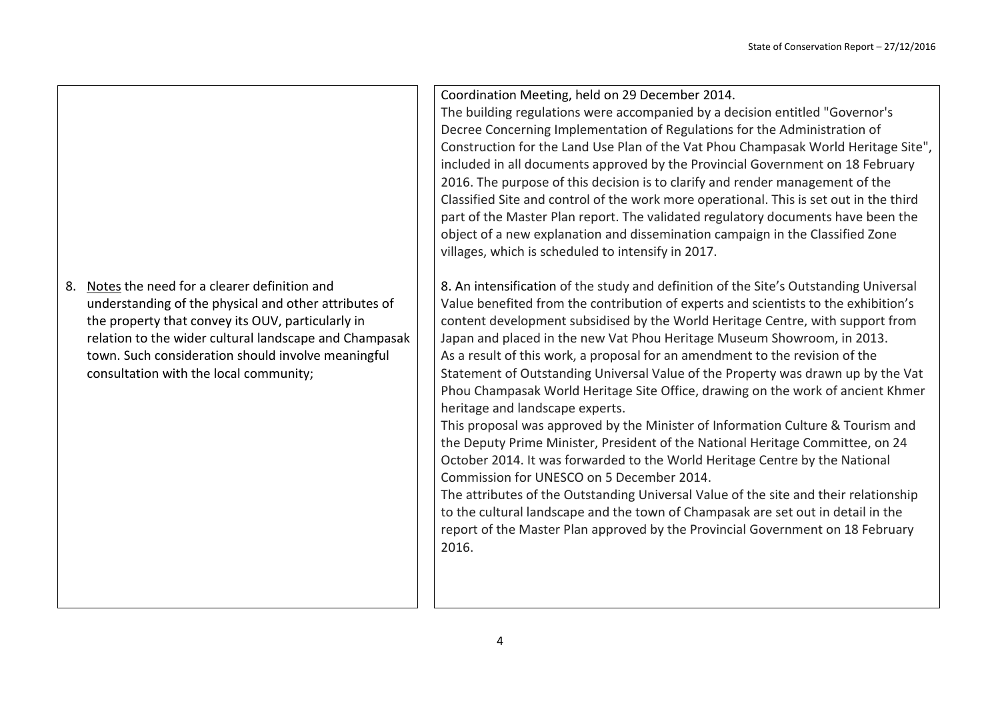8. Notes the need for a clearer definition and understanding of the physical and other attributes of the property that convey its OUV, particularly in relation to the wider cultural landscape and Champasak town. Such consideration should involve meaningful consultation with the local community;

Coordination Meeting, held on 29 December 2014.

The building regulations were accompanied by a decision entitled "Governor's Decree Concerning Implementation of Regulations for the Administration of Construction for the Land Use Plan of the Vat Phou Champasak World Heritage Site", included in all documents approved by the Provincial Government on 18 February 2016. The purpose of this decision is to clarify and render management of the Classified Site and control of the work more operational. This is set out in the third part of the Master Plan report. The validated regulatory documents have been the object of a new explanation and dissemination campaign in the Classified Zone villages, which is scheduled to intensify in 2017.

8. An intensification of the study and definition of the Site's Outstanding Universal Value benefited from the contribution of experts and scientists to the exhibition's content development subsidised by the World Heritage Centre, with support from Japan and placed in the new Vat Phou Heritage Museum Showroom, in 2013. As a result of this work, a proposal for an amendment to the revision of the Statement of Outstanding Universal Value of the Property was drawn up by the Vat Phou Champasak World Heritage Site Office, drawing on the work of ancient Khmer heritage and landscape experts.

This proposal was approved by the Minister of Information Culture & Tourism and the Deputy Prime Minister, President of the National Heritage Committee, on 24 October 2014. It was forwarded to the World Heritage Centre by the National Commission for UNESCO on 5 December 2014.

The attributes of the Outstanding Universal Value of the site and their relationship to the cultural landscape and the town of Champasak are set out in detail in the report of the Master Plan approved by the Provincial Government on 18 February 2016.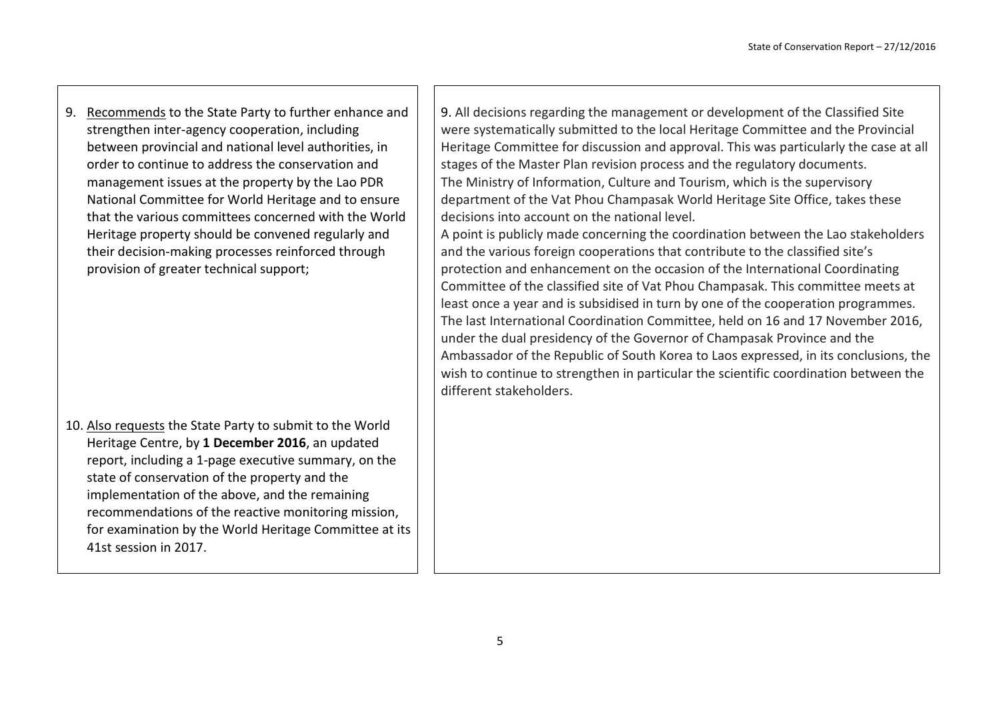9. Recommends to the State Party to further enhance and strengthen inter-agency cooperation, including between provincial and national level authorities, in order to continue to address the conservation and management issues at the property by the Lao PDR National Committee for World Heritage and to ensure that the various committees concerned with the World Heritage property should be convened regularly and their decision-making processes reinforced through provision of greater technical support;

10. Also requests the State Party to submit to the World Heritage Centre, by **1 December 2016**, an updated report, including a 1-page executive summary, on the state of conservation of the property and the implementation of the above, and the remaining recommendations of the reactive monitoring mission, for examination by the World Heritage Committee at its 41st session in 2017.

9. All decisions regarding the management or development of the Classified Site were systematically submitted to the local Heritage Committee and the Provincial Heritage Committee for discussion and approval. This was particularly the case at all stages of the Master Plan revision process and the regulatory documents. The Ministry of Information, Culture and Tourism, which is the supervisory department of the Vat Phou Champasak World Heritage Site Office, takes these decisions into account on the national level.

A point is publicly made concerning the coordination between the Lao stakeholders and the various foreign cooperations that contribute to the classified site's protection and enhancement on the occasion of the International Coordinating Committee of the classified site of Vat Phou Champasak. This committee meets at least once a year and is subsidised in turn by one of the cooperation programmes. The last International Coordination Committee, held on 16 and 17 November 2016, under the dual presidency of the Governor of Champasak Province and the Ambassador of the Republic of South Korea to Laos expressed, in its conclusions, the wish to continue to strengthen in particular the scientific coordination between the different stakeholders.

5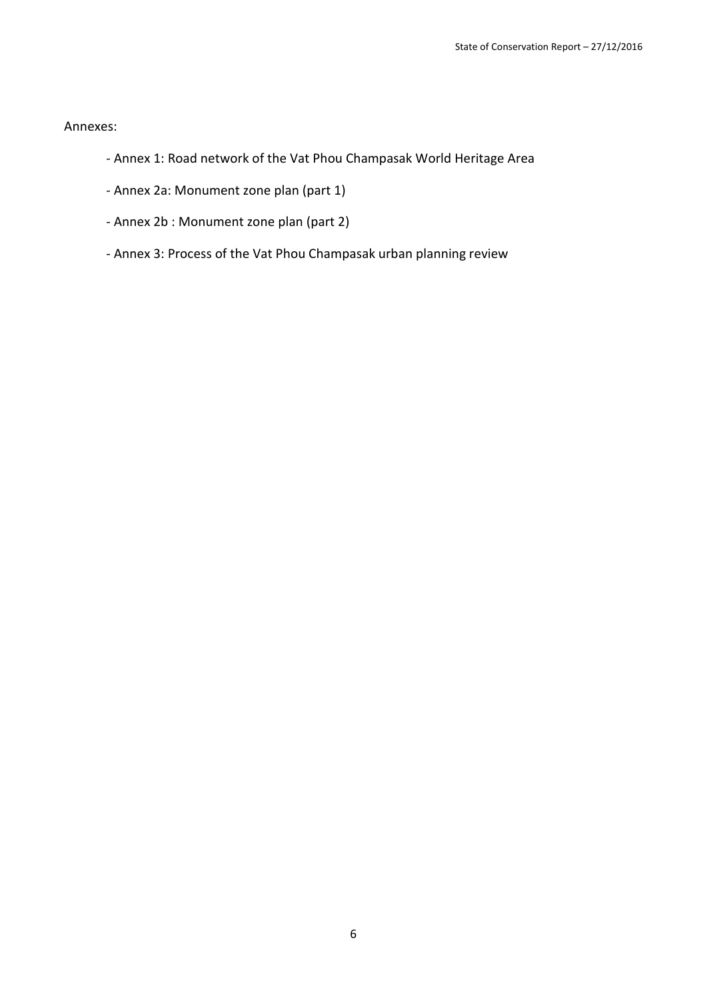Annexes:

- Annex 1: Road network of the Vat Phou Champasak World Heritage Area
- Annex 2a: Monument zone plan (part 1)
- Annex 2b : Monument zone plan (part 2)
- Annex 3: Process of the Vat Phou Champasak urban planning review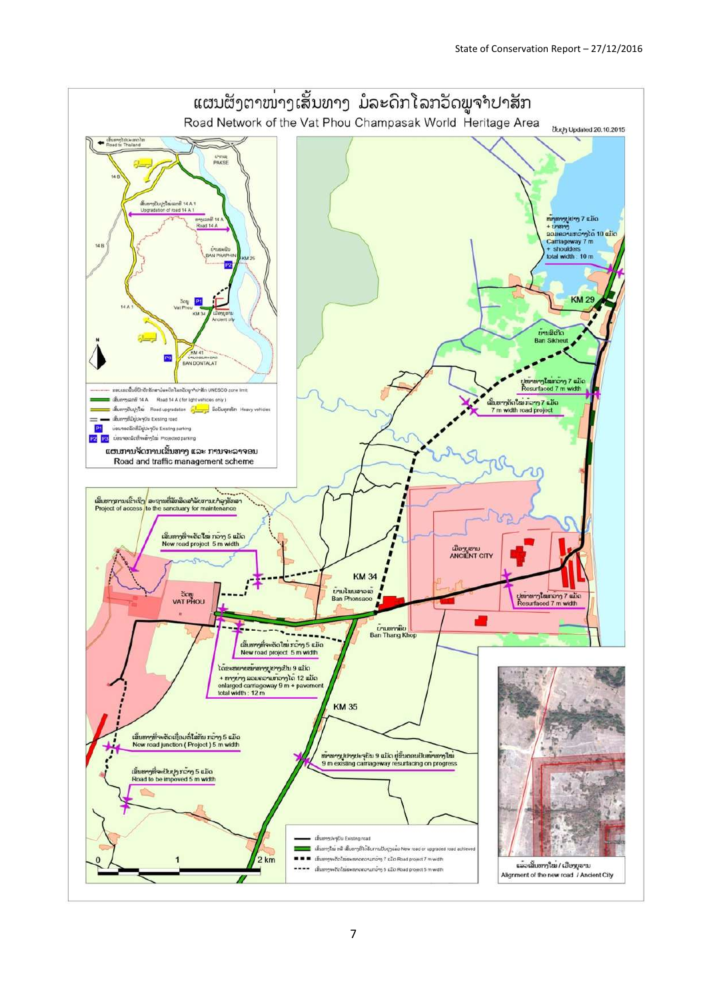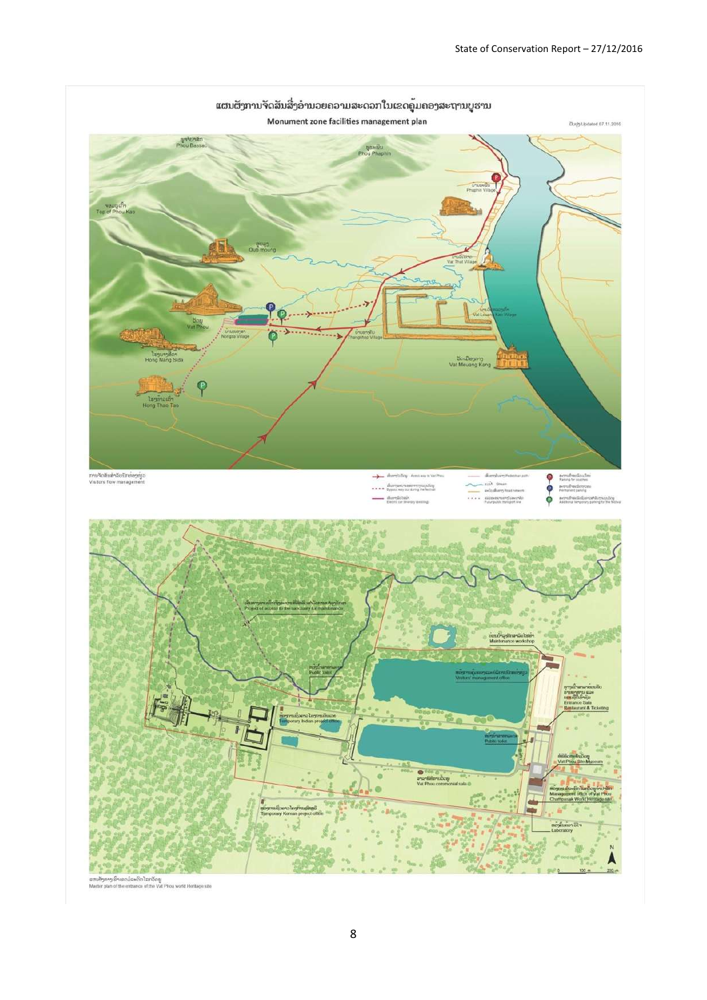

.<br>ນອ້າງກາງເຂົ້າເຂດມໍລະດີກໂລກວັດພູ<br>ster plan of the entrance of the Vat Phou world Heritage site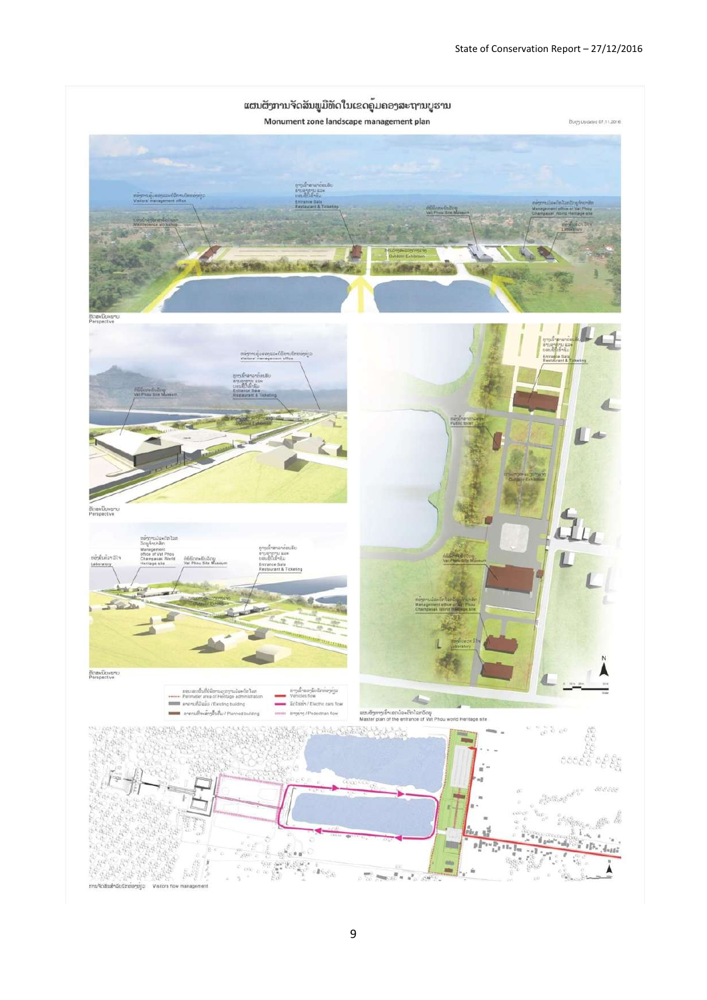